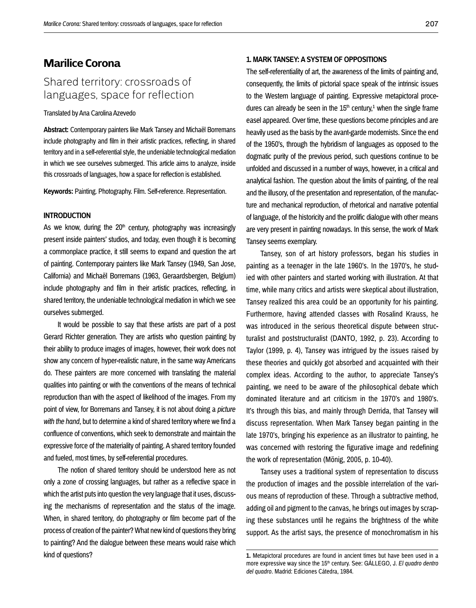## **Marilice Corona**

# Shared territory: crossroads of languages, space for reflection

### Translated by Ana Carolina Azevedo

**Abstract:** Contemporary painters like Mark Tansey and Michaël Borremans include photography and film in their artistic practices, reflecting, in shared territory and in a self-referential style, the undeniable technological mediation in which we see ourselves submerged. This article aims to analyze, inside this crossroads of languages, how a space for reflection is established.

**Keywords:** Painting. Photography. Film. Self-reference. Representation.

#### **INTRODUCTION**

As we know, during the  $20<sup>th</sup>$  century, photography was increasingly present inside painters' studios, and today, even though it is becoming a commonplace practice, it still seems to expand and question the art of painting. Contemporary painters like Mark Tansey (1949, San Jose, California) and Michaël Borremans (1963, Geraardsbergen, Belgium) include photography and film in their artistic practices, reflecting, in shared territory, the undeniable technological mediation in which we see ourselves submerged.

It would be possible to say that these artists are part of a post Gerard Richter generation. They are artists who question painting by their ability to produce images of images, however, their work does not show any concern of hyper-realistic nature, in the same way Americans do. These painters are more concerned with translating the material qualities into painting or with the conventions of the means of technical reproduction than with the aspect of likelihood of the images. From my point of view, for Borremans and Tansey, it is not about doing a *picture with the hand*, but to determine a kind of shared territory where we find a confluence of conventions, which seek to demonstrate and maintain the expressive force of the materiality of painting. A shared territory founded and fueled, most times, by self-referential procedures.

The notion of shared territory should be understood here as not only a zone of crossing languages, but rather as a reflective space in which the artist puts into question the very language that it uses, discussing the mechanisms of representation and the status of the image. When, in shared territory, do photography or film become part of the process of creation of the painter? What new kind of questions they bring to painting? And the dialogue between these means would raise which kind of questions?

#### **1. MARK TANSEY: A SYSTEM OF OPPOSITIONS**

The self-referentiality of art, the awareness of the limits of painting and, consequently, the limits of pictorial space speak of the intrinsic issues to the Western language of painting. Expressive metapictoral procedures can already be seen in the  $15<sup>th</sup>$  century,<sup>1</sup> when the single frame easel appeared. Over time, these questions become principles and are heavily used as the basis by the avant-garde modernists. Since the end of the 1950's, through the hybridism of languages as opposed to the dogmatic purity of the previous period, such questions continue to be unfolded and discussed in a number of ways, however, in a critical and analytical fashion. The question about the limits of painting, of the real and the illusory, of the presentation and representation, of the manufacture and mechanical reproduction, of rhetorical and narrative potential of language, of the historicity and the prolific dialogue with other means are very present in painting nowadays. In this sense, the work of Mark Tansey seems exemplary.

Tansey, son of art history professors, began his studies in painting as a teenager in the late 1960's. In the 1970's, he studied with other painters and started working with illustration. At that time, while many critics and artists were skeptical about illustration, Tansey realized this area could be an opportunity for his painting. Furthermore, having attended classes with Rosalind Krauss, he was introduced in the serious theoretical dispute between structuralist and poststructuralist (DANTO, 1992, p. 23). According to Taylor (1999, p. 4), Tansey was intrigued by the issues raised by these theories and quickly got absorbed and acquainted with their complex ideas. According to the author, to appreciate Tansey's painting, we need to be aware of the philosophical debate which dominated literature and art criticism in the 1970's and 1980's. It's through this bias, and mainly through Derrida, that Tansey will discuss representation. When Mark Tansey began painting in the late 1970's, bringing his experience as an illustrator to painting, he was concerned with restoring the figurative image and redefining the work of representation (Mönig, 2005, p. 10-40).

Tansey uses a traditional system of representation to discuss the production of images and the possible interrelation of the various means of reproduction of these. Through a subtractive method, adding oil and pigment to the canvas, he brings out images by scraping these substances until he regains the brightness of the white support. As the artist says, the presence of monochromatism in his

**<sup>1.</sup>** Metapictoral procedures are found in ancient times but have been used in a more expressive way since the 15<sup>th</sup> century. See: GÁLLEGO, J. *El quadro dentro del quadro*. Madrid: Ediciones Cátedra, 1984.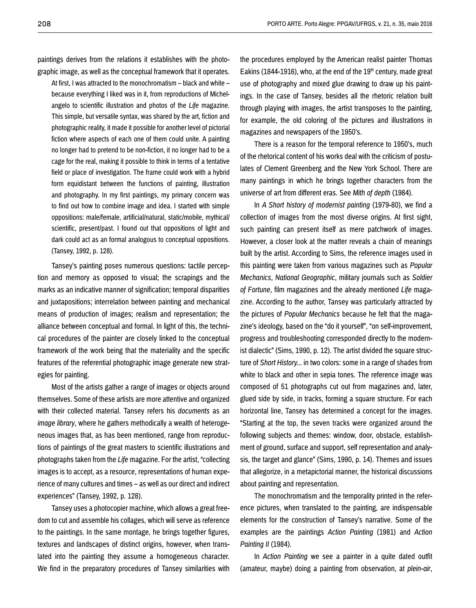paintings derives from the relations it establishes with the photographic image, as well as the conceptual framework that it operates.

At first, I was attracted to the monochromatism  $-$  black and white  $$ because everything I liked was in it, from reproductions of Michelangelo to scientific illustration and photos of the *Life* magazine. This simple, but versatile syntax, was shared by the art, fiction and photographic reality, it made it possible for another level of pictorial fiction where aspects of each one of them could unite. A painting no longer had to pretend to be non-fiction, it no longer had to be a cage for the real, making it possible to think in terms of a tentative field or place of investigation. The frame could work with a hybrid form equidistant between the functions of painting, illustration and photography. In my first paintings, my primary concern was to find out how to combine image and idea. I started with simple oppositions: male/female, artificial/natural, static/mobile, mythical/ scientific, present/past. I found out that oppositions of light and dark could act as an formal analogous to conceptual oppositions. (Tansey, 1992, p. 128).

Tansey's painting poses numerous questions: tactile perception and memory as opposed to visual; the scrapings and the marks as an indicative manner of signification; temporal disparities and juxtapositions; interrelation between painting and mechanical means of production of images; realism and representation; the alliance between conceptual and formal. In light of this, the technical procedures of the painter are closely linked to the conceptual framework of the work being that the materiality and the specific features of the referential photographic image generate new strategies for painting.

Most of the artists gather a range of images or objects around themselves. Some of these artists are more attentive and organized with their collected material. Tansey refers his *documents* as an *image library*, where he gathers methodically a wealth of heterogeneous images that, as has been mentioned, range from reproductions of paintings of the great masters to scientific illustrations and photographs taken from the *Life* magazine. For the artist, "collecting images is to accept, as a resource, representations of human experience of many cultures and times – as well as our direct and indirect experiences" (Tansey, 1992, p. 128).

Tansey uses a photocopier machine, which allows a great freedom to cut and assemble his collages, which will serve as reference to the paintings. In the same montage, he brings together figures, textures and landscapes of distinct origins, however, when translated into the painting they assume a homogeneous character. We find in the preparatory procedures of Tansey similarities with the procedures employed by the American realist painter Thomas Eakins (1844-1916), who, at the end of the 19<sup>th</sup> century, made great use of photography and mixed glue drawing to draw up his paintings. In the case of Tansey, besides all the rhetoric relation built through playing with images, the artist transposes to the painting, for example, the old coloring of the pictures and illustrations in magazines and newspapers of the 1950's.

There is a reason for the temporal reference to 1950's, much of the rhetorical content of his works deal with the criticism of postulates of Clement Greenberg and the New York School. There are many paintings in which he brings together characters from the universe of art from different eras. See *Mith of depth* (1984).

In *A Short history of modernist painting* (1979-80), we find a collection of images from the most diverse origins. At first sight, such painting can present itself as mere patchwork of images. However, a closer look at the matter reveals a chain of meanings built by the artist. According to Sims, the reference images used in this painting were taken from various magazines such as *Popular Mechanics*, *National Geographic*, military journals such as *Soldier of Fortune*, film magazines and the already mentioned *Life* magazine. According to the author, Tansey was particularly attracted by the pictures of *Popular Mechanics* because he felt that the magazine's ideology, based on the "do it yourself", "on self-improvement, progress and troubleshooting corresponded directly to the modernist dialectic" (Sims, 1990, p. 12). The artist divided the square structure of *Short History...* in two colors: some in a range of shades from white to black and other in sepia tones. The reference image was composed of 51 photographs cut out from magazines and, later, glued side by side, in tracks, forming a square structure. For each horizontal line, Tansey has determined a concept for the images. "Starting at the top, the seven tracks were organized around the following subjects and themes: window, door, obstacle, establishment of ground, surface and support, self representation and analysis, the target and glance" (Sims, 1990, p. 14). Themes and issues that allegorize, in a metapictorial manner, the historical discussions about painting and representation.

The monochromatism and the temporality printed in the reference pictures, when translated to the painting, are indispensable elements for the construction of Tansey's narrative. Some of the examples are the paintings *Action Painting* (1981) and *Action Painting II* (1984).

In *Action Painting* we see a painter in a quite dated outfit (amateur, maybe) doing a painting from observation, at *plein-air*,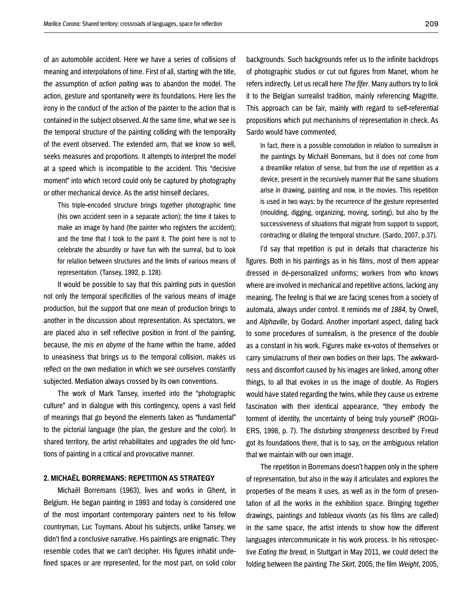of an automobile accident. Here we have a series of collisions of meaning and interpolations of time. First of all, starting with the title, the assumption of *action paiting* was to abandon the model. The action, gesture and spontaneity were its foundations. Here lies the irony in the conduct of the action of the painter to the action that is contained in the subject observed. At the same time, what we see is the temporal structure of the painting colliding with the temporality of the event observed. The extended arm, that we know so well, seeks measures and proportions. It attempts to interpret the model at a speed which is incompatible to the accident. This "decisive moment" into which record could only be captured by photography or other mechanical device. As the artist himself declares,

This triple-encoded structure brings together photographic time (his own accident seen in a separate action); the time it takes to make an image by hand (the painter who registers the accident); and the time that I took to the paint it. The point here is not to celebrate the absurdity or have fun with the surreal, but to look for relation between structures and the limits of various means of representation. (Tansey, 1992, p. 128).

It would be possible to say that this painting puts in question not only the temporal specificities of the various means of image production, but the support that one mean of production brings to another in the discussion about representation. As spectators, we are placed also in self reflective position in front of the painting, because, the *mis en abyme* of the frame within the frame, added to uneasiness that brings us to the temporal collision, makes us reflect on the own mediation in which we see ourselves constantly subjected. Mediation always crossed by its own conventions.

The work of Mark Tansey, inserted into the "photographic culture" and in dialogue with this contingency, opens a vast field of meanings that go beyond the elements taken as "fundamental" to the pictorial language (the plan, the gesture and the color). In shared territory, the artist rehabilitates and upgrades the old functions of painting in a critical and provocative manner.

#### **2. MICHAËL BORREMANS: REPETITION AS STRATEGY**

Michaël Borremans (1963), lives and works in Ghent, in Belgium. He began painting in 1993 and today is considered one of the most important contemporary painters next to his fellow countryman, Luc Tuymans. About his subjects, unlike Tansey, we didn't find a conclusive narrative. His paintings are enigmatic. They resemble codes that we can't decipher. His figures inhabit undefined spaces or are represented, for the most part, on solid color

backgrounds. Such backgrounds refer us to the infinite backdrops of photographic studios or cut out figures from Manet, whom he refers indirectly. Let us recall here *The fifer*. Many authors try to link it to the Belgian surrealist tradition, mainly referencing Magritte. This approach can be fair, mainly with regard to self-referential propositions which put mechanisms of representation in check. As Sardo would have commented,

In fact, there is a possible connotation in relation to surrealism in the paintings by Michaël Borremans, but it does not come from a dreamlike relation of sense, but from the use of repetition as a device, present in the recursively manner that the same situations arise in drawing, painting and now, in the movies. This repetition is used in two ways: by the recurrence of the gesture represented (moulding, digging, organizing, moving, sorting), but also by the successiveness of situations that migrate from support to support, contracting or dilating the temporal structure. (Sardo, 2007, p.37).

I'd say that repetition is put in details that characterize his figures. Both in his paintings as in his films, most of them appear dressed in de-personalized uniforms; workers from who knows where are involved in mechanical and repetitive actions, lacking any meaning**.** The feeling is that we are facing scenes from a society of automata, always under control. It reminds me of *1984*, by Orwell, and *Alphaville*, by Godard. Another important aspect, dating back to some procedures of surrealism, is the presence of the double as a constant in his work. Figures make ex-votos of themselves or carry simulacrums of their own bodies on their laps. The awkwardness and discomfort caused by his images are linked, among other things, to all that evokes in us the image of double. As Rogiers would have stated regarding the twins, while they cause us extreme fascination with their identical appearance, "they embody the torment of identity, the uncertainty of being truly yourself" (ROGI-ERS, 1998, p. 7). The *disturbing strangeness* described by Freud got its foundations there, that is to say, on the ambiguous relation that we maintain with our own image.

The repetition in Borremans doesn't happen only in the sphere of representation, but also in the way it articulates and explores the properties of the means it uses, as well as in the form of presentation of all the works in the exhibition space. Bringing together drawings, paintings and *tableaux vivants* (as his films are called) in the same space, the artist intends to show how the different languages intercommunicate in his work process. In his retrospective *Eating the bread,* in Stuttgart in May 2011, we could detect the folding between the painting *The Skirt*, 2005, the film *Weight*, 2005,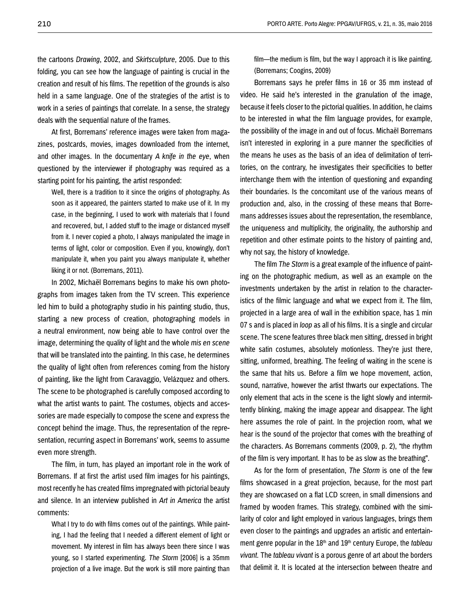the cartoons *Drawing*, 2002, and *Skirtsculpture*, 2005. Due to this folding, you can see how the language of painting is crucial in the creation and result of his films. The repetition of the grounds is also held in a same language. One of the strategies of the artist is to work in a series of paintings that correlate. In a sense, the strategy deals with the sequential nature of the frames.

At first, Borremans' reference images were taken from magazines, postcards, movies, images downloaded from the internet, and other images. In the documentary *A knife in the eye*, when questioned by the interviewer if photography was required as a starting point for his painting, the artist responded:

Well, there is a tradition to it since the origins of photography. As soon as it appeared, the painters started to make use of it. In my case, in the beginning, I used to work with materials that I found and recovered, but, I added stuff to the image or distanced myself from it. I never copied a photo, I always manipulated the image in terms of light, color or composition. Even if you, knowingly, don't manipulate it, when you paint you always manipulate it, whether liking it or not. (Borremans, 2011).

In 2002, Michaël Borremans begins to make his own photographs from images taken from the TV screen. This experience led him to build a photography studio in his painting studio, thus, starting a new process of creation, photographing models in a neutral environment, now being able to have control over the image, determining the quality of light and the whole *mis en scene* that will be translated into the painting. In this case, he determines the quality of light often from references coming from the history of painting, like the light from Caravaggio, Velázquez and others. The scene to be photographed is carefully composed according to what the artist wants to paint. The costumes, objects and accessories are made especially to compose the scene and express the concept behind the image. Thus, the representation of the representation, recurring aspect in Borremans' work, seems to assume even more strength.

The film, in turn, has played an important role in the work of Borremans. If at first the artist used film images for his paintings, most recently he has created films impregnated with pictorial beauty and silence. In an interview published in *Art in America* the artist comments:

What I try to do with films comes out of the paintings. While painting, I had the feeling that I needed a different element of light or movement. My interest in film has always been there since I was young, so I started experimenting. *The Storm* [2006] is a 35mm projection of a live image. But the work is still more painting than

film—the medium is film, but the way I approach it is like painting. (Borremans; Coogins, 2009)

Borremans says he prefer films in 16 or 35 mm instead of video. He said he's interested in the granulation of the image, because it feels closer to the pictorial qualities. In addition, he claims to be interested in what the film language provides, for example, the possibility of the image in and out of focus. Michaël Borremans isn't interested in exploring in a pure manner the specificities of the means he uses as the basis of an idea of delimitation of territories, on the contrary, he investigates their specificities to better interchange them with the intention of questioning and expanding their boundaries. Is the concomitant use of the various means of production and, also, in the crossing of these means that Borremans addresses issues about the representation, the resemblance, the uniqueness and multiplicity, the originality, the authorship and repetition and other estimate points to the history of painting and, why not say, the history of knowledge.

The film *The Storm* is a great example of the influence of painting on the photographic medium, as well as an example on the investments undertaken by the artist in relation to the characteristics of the filmic language and what we expect from it. The film, projected in a large area of wall in the exhibition space, has 1 min 07 s and is placed in *loop* as all of his films. It is a single and circular scene. The scene features three black men sitting, dressed in bright white satin costumes, absolutely motionless. They're just there, sitting, uniformed, breathing. The feeling of waiting in the scene is the same that hits us. Before a film we hope movement, action, sound, narrative, however the artist thwarts our expectations. The only element that acts in the scene is the light slowly and intermittently blinking, making the image appear and disappear. The light here assumes the role of paint. In the projection room, what we hear is the sound of the projector that comes with the breathing of the characters. As Borremans comments (2009, p. 2), "the rhythm of the film is very important. It has to be as slow as the breathing".

As for the form of presentation, *The Storm* is one of the few films showcased in a great projection, because, for the most part they are showcased on a flat LCD screen, in small dimensions and framed by wooden frames. This strategy, combined with the similarity of color and light employed in various languages, brings them even closer to the paintings and upgrades an artistic and entertainment genre popular in the 18<sup>th</sup> and 19<sup>th</sup> century Europe, the *tableau vivant.* The *tableau vivant* is a porous genre of art about the borders that delimit it. It is located at the intersection between theatre and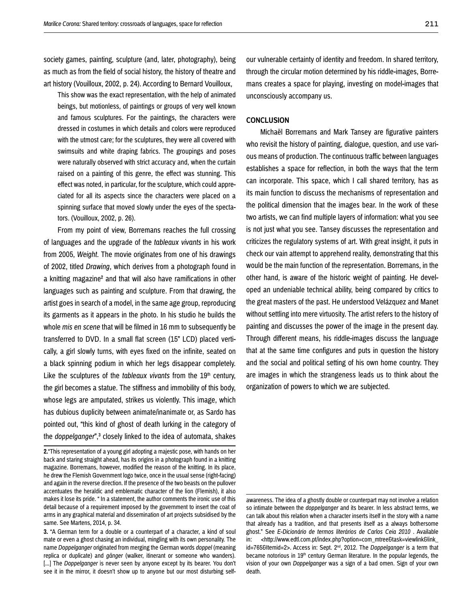society games, painting, sculpture (and, later, photography), being as much as from the field of social history, the history of theatre and art history (Vouilloux, 2002, p. 24). According to Bernard Vouilloux,

This show was the exact representation, with the help of animated beings, but motionless, of paintings or groups of very well known and famous sculptures. For the paintings, the characters were dressed in costumes in which details and colors were reproduced with the utmost care; for the sculptures, they were all covered with swimsuits and white draping fabrics. The groupings and poses were naturally observed with strict accuracy and, when the curtain raised on a painting of this genre, the effect was stunning. This effect was noted, in particular, for the sculpture, which could appreciated for all its aspects since the characters were placed on a spinning surface that moved slowly under the eyes of the spectators. (Vouilloux, 2002, p. 26).

From my point of view, Borremans reaches the full crossing of languages and the upgrade of the *tableaux vivants* in his work from 2005, *Weight.* The movie originates from one of his drawings of 2002, titled *Drawing*, which derives from a photograph found in a knitting magazine2 and that will also have ramifications in other languages such as painting and sculpture. From that drawing, the artist goes in search of a model, in the same age group, reproducing its garments as it appears in the photo. In his studio he builds the whole *mis en scene* that will be filmed in 16 mm to subsequently be transferred to DVD. In a small flat screen (15" LCD) placed vertically, a girl slowly turns, with eyes fixed on the infinite, seated on a black spinning podium in which her legs disappear completely. Like the sculptures of the *tableaux vivants* from the 19<sup>th</sup> century, the girl becomes a statue. The stiffness and immobility of this body, whose legs are amputated, strikes us violently. This image, which has dubious duplicity between animate/inanimate or, as Sardo has pointed out, "this kind of ghost of death lurking in the category of the *doppelganger*",<sup>3</sup> closely linked to the idea of automata, shakes

**3.** "A German term for a double or a counterpart of a character, a kind of soul mate or even a ghost chasing an individual, mingling with its own personality. The name *Doppelganger* originated from merging the German words *doppel* (meaning replica or duplicate) and *gänger* (walker, itinerant or someone who wanders). [...] The *Doppelganger* is never seen by anyone except by its bearer. You don't see it in the mirror, it doesn't show up to anyone but our most disturbing selfour vulnerable certainty of identity and freedom. In shared territory, through the circular motion determined by his riddle-images, Borremans creates a space for playing, investing on model-images that unconsciously accompany us.

#### **CONCLUSION**

Michaël Borremans and Mark Tansey are figurative painters who revisit the history of painting, dialogue, question, and use various means of production. The continuous traffic between languages establishes a space for reflection, in both the ways that the term can incorporate. This space, which I call shared territory, has as its main function to discuss the mechanisms of representation and the political dimension that the images bear. In the work of these two artists, we can find multiple layers of information: what you see is not just what you see. Tansey discusses the representation and criticizes the regulatory systems of art. With great insight, it puts in check our vain attempt to apprehend reality, demonstrating that this would be the main function of the representation. Borremans, in the other hand, is aware of the historic weight of painting. He developed an undeniable technical ability, being compared by critics to the great masters of the past. He understood Velázquez and Manet without settling into mere virtuosity. The artist refers to the history of painting and discusses the power of the image in the present day. Through different means, his riddle-images discuss the language that at the same time configures and puts in question the history and the social and political setting of his own home country. They are images in which the strangeness leads us to think about the organization of powers to which we are subjected.

**<sup>2.</sup>**"This representation of a young girl adopting a majestic pose, with hands on her back and staring straight ahead, has its origins in a photograph found in a knitting magazine. Borremans, however, modified the reason of the knitting. In its place, he drew the Flemish Government logo twice, once in the usual sense (right-facing) and again in the reverse direction. If the presence of the two beasts on the pullover accentuates the heraldic and emblematic character of the lion (Flemish), it also makes it lose its pride. " In a statement, the author comments the ironic use of this detail because of a requirement imposed by the government to insert the coat of arms in any graphical material and dissemination of art projects subsidised by the same. See Martens, 2014, p. 34.

awareness. The idea of a ghostly double or counterpart may not involve a relation so intimate between the *doppelganger* and its bearer. In less abstract terms, we can talk about this relation when a character inserts itself in the story with a name that already has a tradition, and that presents itself as a always bothersome ghost." See *E-Dicionário de termos literários de Carlos Ceia 2010* . Available in: <http://www.edtl.com.pt/index.php?option=com\_mtree&task=viewlink&link\_ id=765&Itemid=2>. Access in: Sept. 2nd, 2012. The *Doppelganger* is a term that became notorious in  $19<sup>th</sup>$  century German literature. In the popular legends, the vision of your own *Doppelganger* was a sign of a bad omen. Sign of your own death.